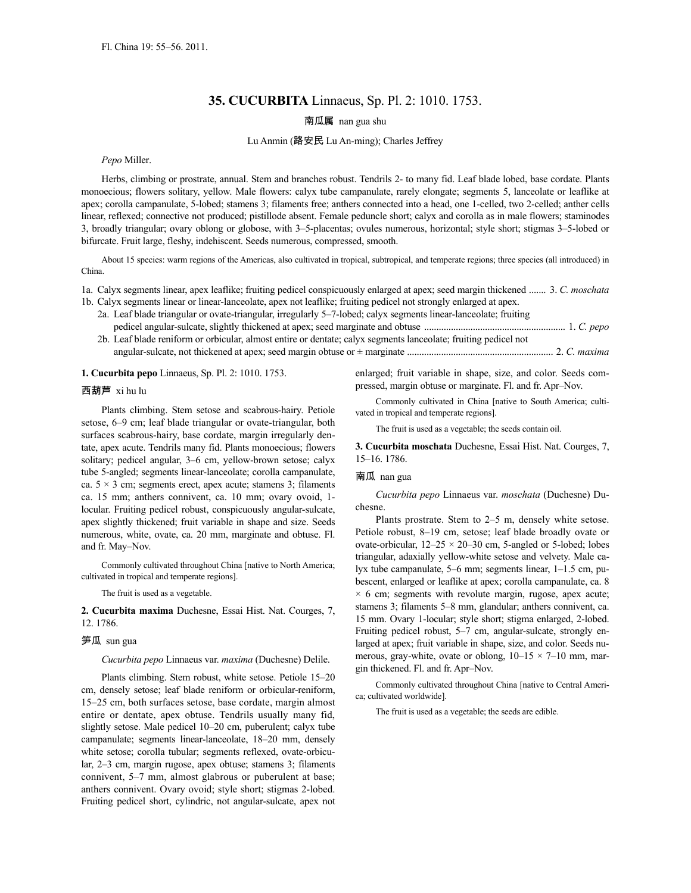# **35. CUCURBITA** Linnaeus, Sp. Pl. 2: 1010. 1753.

南瓜属 nan gua shu

### Lu Anmin (路安民 Lu An-ming); Charles Jeffrey

*Pepo* Miller.

Herbs, climbing or prostrate, annual. Stem and branches robust. Tendrils 2- to many fid. Leaf blade lobed, base cordate. Plants monoecious; flowers solitary, yellow. Male flowers: calyx tube campanulate, rarely elongate; segments 5, lanceolate or leaflike at apex; corolla campanulate, 5-lobed; stamens 3; filaments free; anthers connected into a head, one 1-celled, two 2-celled; anther cells linear, reflexed; connective not produced; pistillode absent. Female peduncle short; calyx and corolla as in male flowers; staminodes 3, broadly triangular; ovary oblong or globose, with 3–5-placentas; ovules numerous, horizontal; style short; stigmas 3–5-lobed or bifurcate. Fruit large, fleshy, indehiscent. Seeds numerous, compressed, smooth.

About 15 species: warm regions of the Americas, also cultivated in tropical, subtropical, and temperate regions; three species (all introduced) in China.

1a. Calyx segments linear, apex leaflike; fruiting pedicel conspicuously enlarged at apex; seed margin thickened ....... 3. *C. moschata*

- 1b. Calyx segments linear or linear-lanceolate, apex not leaflike; fruiting pedicel not strongly enlarged at apex. 2a. Leaf blade triangular or ovate-triangular, irregularly 5–7-lobed; calyx segments linear-lanceolate; fruiting pedicel angular-sulcate, slightly thickened at apex; seed marginate and obtuse .......................................................... 1. *C. pepo*
	- 2b. Leaf blade reniform or orbicular, almost entire or dentate; calyx segments lanceolate; fruiting pedicel not angular-sulcate, not thickened at apex; seed margin obtuse or ± marginate ............................................................ 2. *C. maxima*

#### **1. Cucurbita pepo** Linnaeus, Sp. Pl. 2: 1010. 1753.

## 西葫芦 xi hu lu

Plants climbing. Stem setose and scabrous-hairy. Petiole setose, 6–9 cm; leaf blade triangular or ovate-triangular, both surfaces scabrous-hairy, base cordate, margin irregularly dentate, apex acute. Tendrils many fid. Plants monoecious; flowers solitary; pedicel angular, 3–6 cm, yellow-brown setose; calyx tube 5-angled; segments linear-lanceolate; corolla campanulate, ca.  $5 \times 3$  cm; segments erect, apex acute; stamens 3; filaments ca. 15 mm; anthers connivent, ca. 10 mm; ovary ovoid, 1 locular. Fruiting pedicel robust, conspicuously angular-sulcate, apex slightly thickened; fruit variable in shape and size. Seeds numerous, white, ovate, ca. 20 mm, marginate and obtuse. Fl. and fr. May–Nov.

Commonly cultivated throughout China [native to North America; cultivated in tropical and temperate regions].

The fruit is used as a vegetable.

**2. Cucurbita maxima** Duchesne, Essai Hist. Nat. Courges, 7, 12. 1786.

#### 笋瓜 sun gua

*Cucurbita pepo* Linnaeus var. *maxima* (Duchesne) Delile.

Plants climbing. Stem robust, white setose. Petiole 15–20 cm, densely setose; leaf blade reniform or orbicular-reniform, 15–25 cm, both surfaces setose, base cordate, margin almost entire or dentate, apex obtuse. Tendrils usually many fid, slightly setose. Male pedicel 10–20 cm, puberulent; calyx tube campanulate; segments linear-lanceolate, 18–20 mm, densely white setose; corolla tubular; segments reflexed, ovate-orbicular, 2–3 cm, margin rugose, apex obtuse; stamens 3; filaments connivent, 5–7 mm, almost glabrous or puberulent at base; anthers connivent. Ovary ovoid; style short; stigmas 2-lobed. Fruiting pedicel short, cylindric, not angular-sulcate, apex not

enlarged; fruit variable in shape, size, and color. Seeds compressed, margin obtuse or marginate. Fl. and fr. Apr–Nov.

Commonly cultivated in China [native to South America; cultivated in tropical and temperate regions].

The fruit is used as a vegetable; the seeds contain oil.

**3. Cucurbita moschata** Duchesne, Essai Hist. Nat. Courges, 7, 15–16. 1786.

### 南瓜 nan gua

*Cucurbita pepo* Linnaeus var. *moschata* (Duchesne) Duchesne.

Plants prostrate. Stem to 2–5 m, densely white setose. Petiole robust, 8–19 cm, setose; leaf blade broadly ovate or ovate-orbicular,  $12-25 \times 20-30$  cm, 5-angled or 5-lobed; lobes triangular, adaxially yellow-white setose and velvety. Male calyx tube campanulate, 5–6 mm; segments linear, 1–1.5 cm, pubescent, enlarged or leaflike at apex; corolla campanulate, ca. 8  $\times$  6 cm; segments with revolute margin, rugose, apex acute; stamens 3; filaments 5–8 mm, glandular; anthers connivent, ca. 15 mm. Ovary 1-locular; style short; stigma enlarged, 2-lobed. Fruiting pedicel robust, 5–7 cm, angular-sulcate, strongly enlarged at apex; fruit variable in shape, size, and color. Seeds numerous, gray-white, ovate or oblong,  $10-15 \times 7-10$  mm, margin thickened. Fl. and fr. Apr–Nov.

Commonly cultivated throughout China [native to Central America; cultivated worldwide].

The fruit is used as a vegetable; the seeds are edible.